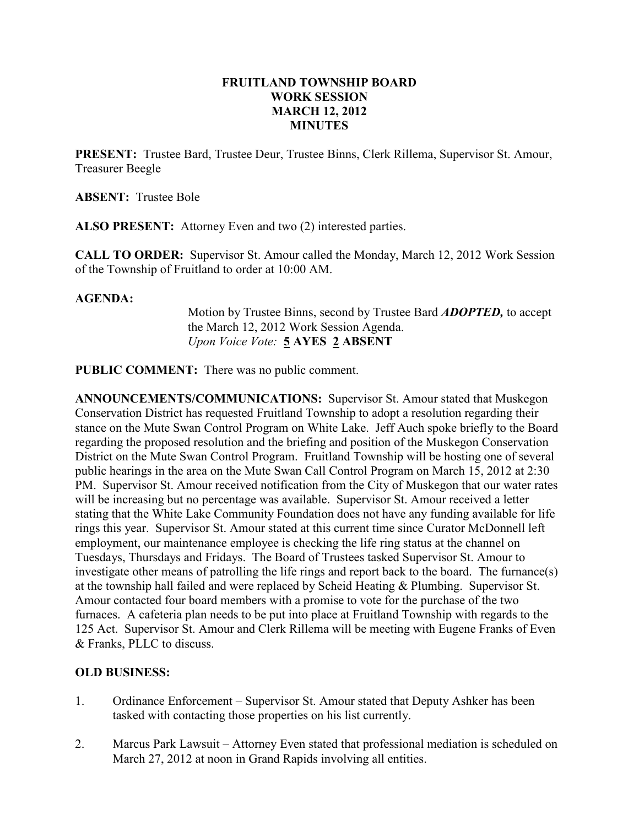### FRUITLAND TOWNSHIP BOARD WORK SESSION MARCH 12, 2012 MINUTES

PRESENT: Trustee Bard, Trustee Deur, Trustee Binns, Clerk Rillema, Supervisor St. Amour, Treasurer Beegle

ABSENT: Trustee Bole

ALSO PRESENT: Attorney Even and two (2) interested parties.

CALL TO ORDER: Supervisor St. Amour called the Monday, March 12, 2012 Work Session of the Township of Fruitland to order at 10:00 AM.

#### AGENDA:

Motion by Trustee Binns, second by Trustee Bard ADOPTED, to accept the March 12, 2012 Work Session Agenda. Upon Voice Vote: 5 AYES 2 ABSENT

PUBLIC COMMENT: There was no public comment.

ANNOUNCEMENTS/COMMUNICATIONS: Supervisor St. Amour stated that Muskegon Conservation District has requested Fruitland Township to adopt a resolution regarding their stance on the Mute Swan Control Program on White Lake. Jeff Auch spoke briefly to the Board regarding the proposed resolution and the briefing and position of the Muskegon Conservation District on the Mute Swan Control Program. Fruitland Township will be hosting one of several public hearings in the area on the Mute Swan Call Control Program on March 15, 2012 at 2:30 PM. Supervisor St. Amour received notification from the City of Muskegon that our water rates will be increasing but no percentage was available. Supervisor St. Amour received a letter stating that the White Lake Community Foundation does not have any funding available for life rings this year. Supervisor St. Amour stated at this current time since Curator McDonnell left employment, our maintenance employee is checking the life ring status at the channel on Tuesdays, Thursdays and Fridays. The Board of Trustees tasked Supervisor St. Amour to investigate other means of patrolling the life rings and report back to the board. The furnance(s) at the township hall failed and were replaced by Scheid Heating & Plumbing. Supervisor St. Amour contacted four board members with a promise to vote for the purchase of the two furnaces. A cafeteria plan needs to be put into place at Fruitland Township with regards to the 125 Act. Supervisor St. Amour and Clerk Rillema will be meeting with Eugene Franks of Even & Franks, PLLC to discuss.

### OLD BUSINESS:

- 1. Ordinance Enforcement Supervisor St. Amour stated that Deputy Ashker has been tasked with contacting those properties on his list currently.
- 2. Marcus Park Lawsuit Attorney Even stated that professional mediation is scheduled on March 27, 2012 at noon in Grand Rapids involving all entities.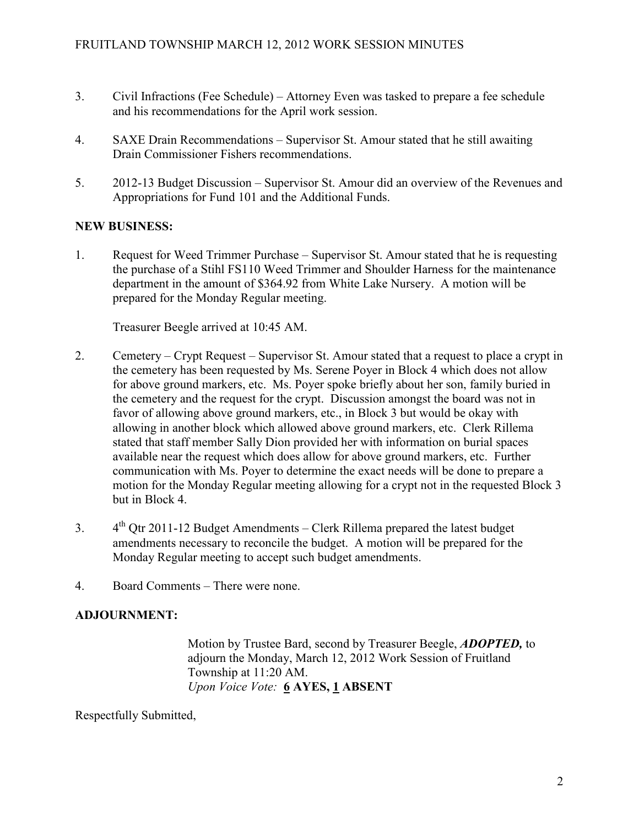- 3. Civil Infractions (Fee Schedule) Attorney Even was tasked to prepare a fee schedule and his recommendations for the April work session.
- 4. SAXE Drain Recommendations Supervisor St. Amour stated that he still awaiting Drain Commissioner Fishers recommendations.
- 5. 2012-13 Budget Discussion Supervisor St. Amour did an overview of the Revenues and Appropriations for Fund 101 and the Additional Funds.

# NEW BUSINESS:

1. Request for Weed Trimmer Purchase – Supervisor St. Amour stated that he is requesting the purchase of a Stihl FS110 Weed Trimmer and Shoulder Harness for the maintenance department in the amount of \$364.92 from White Lake Nursery. A motion will be prepared for the Monday Regular meeting.

Treasurer Beegle arrived at 10:45 AM.

- 2. Cemetery Crypt Request Supervisor St. Amour stated that a request to place a crypt in the cemetery has been requested by Ms. Serene Poyer in Block 4 which does not allow for above ground markers, etc. Ms. Poyer spoke briefly about her son, family buried in the cemetery and the request for the crypt. Discussion amongst the board was not in favor of allowing above ground markers, etc., in Block 3 but would be okay with allowing in another block which allowed above ground markers, etc. Clerk Rillema stated that staff member Sally Dion provided her with information on burial spaces available near the request which does allow for above ground markers, etc. Further communication with Ms. Poyer to determine the exact needs will be done to prepare a motion for the Monday Regular meeting allowing for a crypt not in the requested Block 3 but in Block 4.
- 3.  $4<sup>th</sup>$  Qtr 2011-12 Budget Amendments Clerk Rillema prepared the latest budget amendments necessary to reconcile the budget. A motion will be prepared for the Monday Regular meeting to accept such budget amendments.
- 4. Board Comments There were none.

# ADJOURNMENT:

Motion by Trustee Bard, second by Treasurer Beegle, ADOPTED, to adjourn the Monday, March 12, 2012 Work Session of Fruitland Township at 11:20 AM. Upon Voice Vote: 6 AYES, 1 ABSENT

Respectfully Submitted,